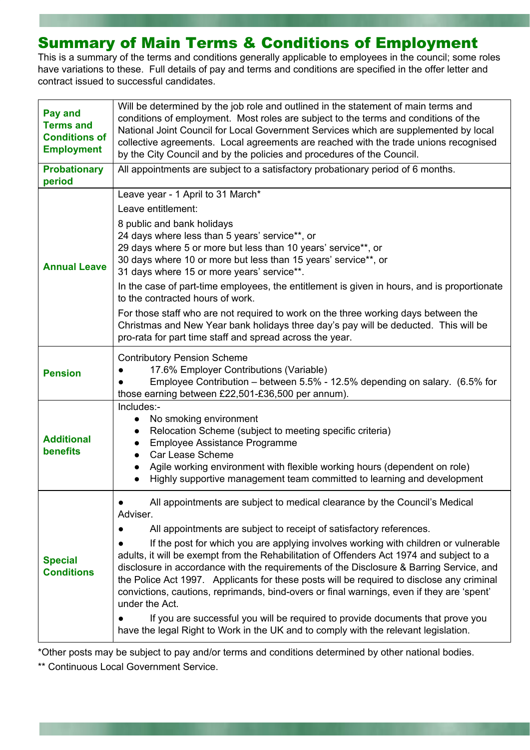## Summary of Main Terms & Conditions of Employment

This is a summary of the terms and conditions generally applicable to employees in the council; some roles have variations to these. Full details of pay and terms and conditions are specified in the offer letter and contract issued to successful candidates.

| <b>Pay and</b><br><b>Terms and</b><br><b>Conditions of</b><br><b>Employment</b> | Will be determined by the job role and outlined in the statement of main terms and<br>conditions of employment. Most roles are subject to the terms and conditions of the<br>National Joint Council for Local Government Services which are supplemented by local<br>collective agreements. Local agreements are reached with the trade unions recognised<br>by the City Council and by the policies and procedures of the Council.                                                                                                                                                                                                                                                                                                                                                                                              |  |  |
|---------------------------------------------------------------------------------|----------------------------------------------------------------------------------------------------------------------------------------------------------------------------------------------------------------------------------------------------------------------------------------------------------------------------------------------------------------------------------------------------------------------------------------------------------------------------------------------------------------------------------------------------------------------------------------------------------------------------------------------------------------------------------------------------------------------------------------------------------------------------------------------------------------------------------|--|--|
| <b>Probationary</b><br>period                                                   | All appointments are subject to a satisfactory probationary period of 6 months.                                                                                                                                                                                                                                                                                                                                                                                                                                                                                                                                                                                                                                                                                                                                                  |  |  |
| <b>Annual Leave</b>                                                             | Leave year - 1 April to 31 March*<br>Leave entitlement:<br>8 public and bank holidays<br>24 days where less than 5 years' service**, or<br>29 days where 5 or more but less than 10 years' service**, or<br>30 days where 10 or more but less than 15 years' service**, or<br>31 days where 15 or more years' service**.<br>In the case of part-time employees, the entitlement is given in hours, and is proportionate<br>to the contracted hours of work.<br>For those staff who are not required to work on the three working days between the<br>Christmas and New Year bank holidays three day's pay will be deducted. This will be<br>pro-rata for part time staff and spread across the year.                                                                                                                             |  |  |
| <b>Pension</b>                                                                  | <b>Contributory Pension Scheme</b><br>17.6% Employer Contributions (Variable)<br>Employee Contribution - between 5.5% - 12.5% depending on salary. (6.5% for<br>those earning between £22,501-£36,500 per annum).                                                                                                                                                                                                                                                                                                                                                                                                                                                                                                                                                                                                                |  |  |
| <b>Additional</b><br>benefits                                                   | Includes:-<br>No smoking environment<br>$\bullet$<br>Relocation Scheme (subject to meeting specific criteria)<br>$\bullet$<br>Employee Assistance Programme<br>$\bullet$<br>Car Lease Scheme<br>Agile working environment with flexible working hours (dependent on role)<br>Highly supportive management team committed to learning and development                                                                                                                                                                                                                                                                                                                                                                                                                                                                             |  |  |
| <b>Special</b><br><b>Conditions</b>                                             | All appointments are subject to medical clearance by the Council's Medical<br>Adviser.<br>All appointments are subject to receipt of satisfactory references.<br>If the post for which you are applying involves working with children or vulnerable<br>adults, it will be exempt from the Rehabilitation of Offenders Act 1974 and subject to a<br>disclosure in accordance with the requirements of the Disclosure & Barring Service, and<br>the Police Act 1997. Applicants for these posts will be required to disclose any criminal<br>convictions, cautions, reprimands, bind-overs or final warnings, even if they are 'spent'<br>under the Act.<br>If you are successful you will be required to provide documents that prove you<br>have the legal Right to Work in the UK and to comply with the relevant legislation. |  |  |

\*Other posts may be subject to pay and/or terms and conditions determined by other national bodies.

\*\* Continuous Local Government Service.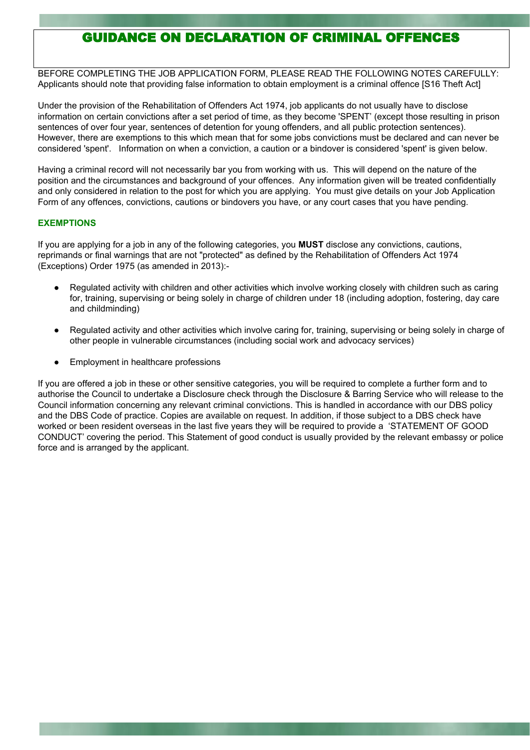## GUIDANCE ON DECLARATION OF CRIMINAL OFFENCES

BEFORE COMPLETING THE JOB APPLICATION FORM, PLEASE READ THE FOLLOWING NOTES CAREFULLY: Applicants should note that providing false information to obtain employment is a criminal offence [S16 Theft Act]

Under the provision of the Rehabilitation of Offenders Act 1974, job applicants do not usually have to disclose information on certain convictions after a set period of time, as they become 'SPENT' (except those resulting in prison sentences of over four year, sentences of detention for young offenders, and all public protection sentences). However, there are exemptions to this which mean that for some jobs convictions must be declared and can never be considered 'spent'. Information on when a conviction, a caution or a bindover is considered 'spent' is given below.

Having a criminal record will not necessarily bar you from working with us. This will depend on the nature of the position and the circumstances and background of your offences. Any information given will be treated confidentially and only considered in relation to the post for which you are applying. You must give details on your Job Application Form of any offences, convictions, cautions or bindovers you have, or any court cases that you have pending.

## **EXEMPTIONS**

If you are applying for a job in any of the following categories, you **MUST** disclose any convictions, cautions, reprimands or final warnings that are not "protected" as defined by the Rehabilitation of Offenders Act 1974 (Exceptions) Order 1975 (as amended in 2013):-

- Regulated activity with children and other activities which involve working closely with children such as caring for, training, supervising or being solely in charge of children under 18 (including adoption, fostering, day care and childminding)
- Regulated activity and other activities which involve caring for, training, supervising or being solely in charge of other people in vulnerable circumstances (including social work and advocacy services)
- Employment in healthcare professions

If you are offered a job in these or other sensitive categories, you will be required to complete a further form and to authorise the Council to undertake a Disclosure check through the Disclosure & Barring Service who will release to the Council information concerning any relevant criminal convictions. This is handled in accordance with our DBS policy and the DBS Code of practice. Copies are available on request. In addition, if those subject to a DBS check have worked or been resident overseas in the last five years they will be required to provide a 'STATEMENT OF GOOD CONDUCT' covering the period. This Statement of good conduct is usually provided by the relevant embassy or police force and is arranged by the applicant.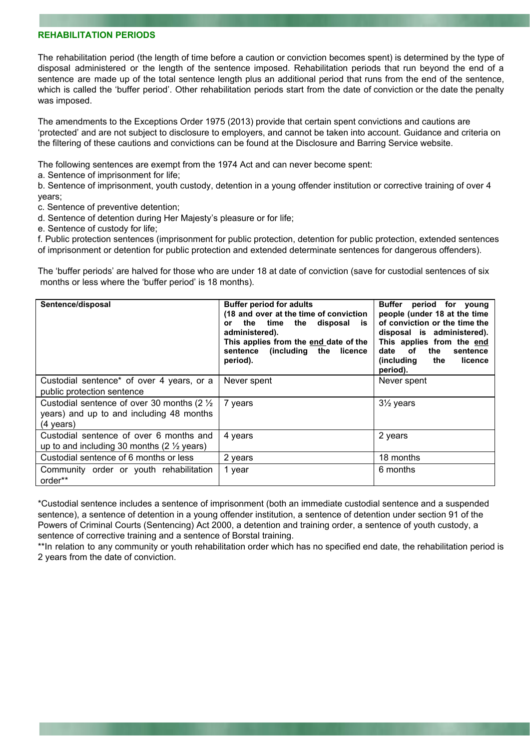## **REHABILITATION PERIODS**

The rehabilitation period (the length of time before a caution or conviction becomes spent) is determined by the type of disposal administered or the length of the sentence imposed. Rehabilitation periods that run beyond the end of a sentence are made up of the total sentence length plus an additional period that runs from the end of the sentence, which is called the 'buffer period'. Other rehabilitation periods start from the date of conviction or the date the penalty was imposed.

The amendments to the Exceptions Order 1975 (2013) provide that certain spent convictions and cautions are 'protected' and are not subject to disclosure to employers, and cannot be taken into account. Guidance and criteria on the filtering of these cautions and convictions can be found at the Disclosure and Barring Service website.

The following sentences are exempt from the 1974 Act and can never become spent:

a. Sentence of imprisonment for life;

b. Sentence of imprisonment, youth custody, detention in a young offender institution or corrective training of over 4 years;

c. Sentence of preventive detention;

d. Sentence of detention during Her Majesty's pleasure or for life;

e. Sentence of custody for life;

f. Public protection sentences (imprisonment for public protection, detention for public protection, extended sentences of imprisonment or detention for public protection and extended determinate sentences for dangerous offenders).

The 'buffer periods' are halved for those who are under 18 at date of conviction (save for custodial sentences of six months or less where the 'buffer period' is 18 months).

| Sentence/disposal                                                                                                          | <b>Buffer period for adults</b><br>(18 and over at the time of conviction<br>the time the disposal<br>is<br>or<br>administered).<br>This applies from the end date of the<br>sentence (including the licence<br>period). | Buffer<br>period for young<br>people (under 18 at the time<br>of conviction or the time the<br>disposal is administered).<br>This applies from the end<br>of<br>the<br>date<br>sentence<br>(including<br>licence<br>the<br>period). |
|----------------------------------------------------------------------------------------------------------------------------|--------------------------------------------------------------------------------------------------------------------------------------------------------------------------------------------------------------------------|-------------------------------------------------------------------------------------------------------------------------------------------------------------------------------------------------------------------------------------|
| Custodial sentence* of over 4 years, or a<br>public protection sentence                                                    | Never spent                                                                                                                                                                                                              | Never spent                                                                                                                                                                                                                         |
| Custodial sentence of over 30 months (2 $\frac{1}{2}$ )<br>years) and up to and including 48 months<br>$(4 \text{ years})$ | 7 years                                                                                                                                                                                                                  | $3\frac{1}{2}$ years                                                                                                                                                                                                                |
| Custodial sentence of over 6 months and<br>up to and including 30 months $(2 \frac{1}{2} \text{ years})$                   | 4 years                                                                                                                                                                                                                  | 2 years                                                                                                                                                                                                                             |
| Custodial sentence of 6 months or less                                                                                     | 2 years                                                                                                                                                                                                                  | 18 months                                                                                                                                                                                                                           |
| Community order or youth rehabilitation<br>order**                                                                         | 1 year                                                                                                                                                                                                                   | 6 months                                                                                                                                                                                                                            |

\*Custodial sentence includes a sentence of imprisonment (both an immediate custodial sentence and a suspended sentence), a sentence of detention in a young offender institution, a sentence of detention under section 91 of the Powers of Criminal Courts (Sentencing) Act 2000, a detention and training order, a sentence of youth custody, a sentence of corrective training and a sentence of Borstal training.

\*\*In relation to any community or youth rehabilitation order which has no specified end date, the rehabilitation period is 2 years from the date of conviction.